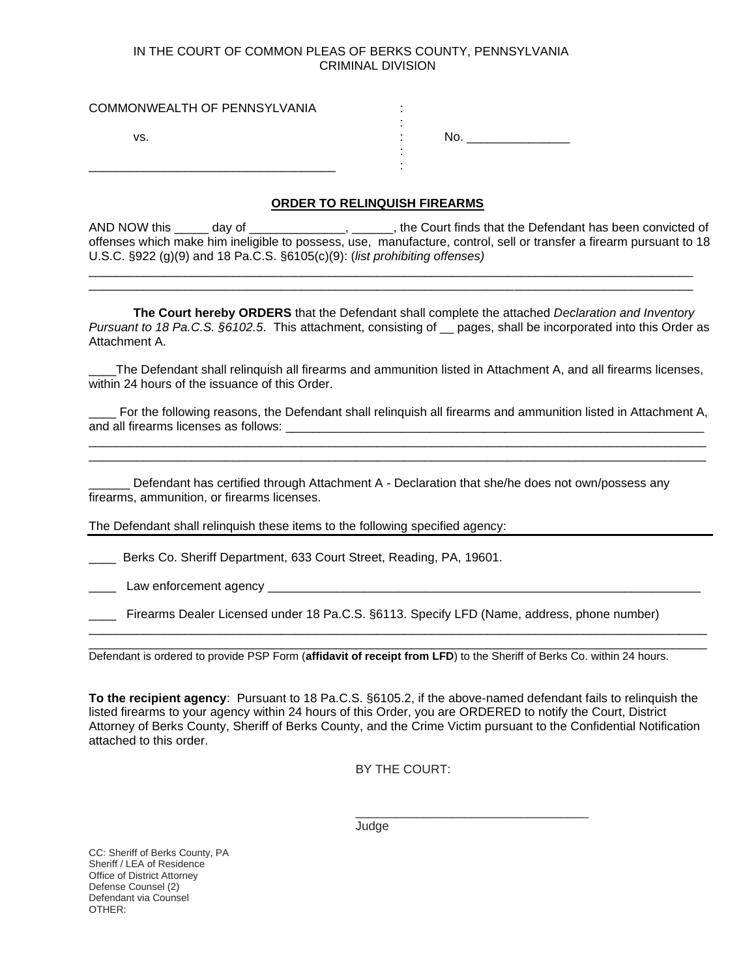## IN THE COURT OF COMMON PLEAS OF BERKS COUNTY, PENNSYLVANIA CRIMINAL DIVISION

| COMMONWEALTH OF PENNSYLVANIA |     |  |
|------------------------------|-----|--|
| vs.                          | No. |  |
|                              |     |  |

## **ORDER TO RELINQUISH FIREARMS**

| AND NOW this<br>dav of                                                             | , the Court finds that the Defendant has been convicted of                                                          |  |
|------------------------------------------------------------------------------------|---------------------------------------------------------------------------------------------------------------------|--|
|                                                                                    | offenses which make him ineligible to possess, use, manufacture, control, sell or transfer a firearm pursuant to 18 |  |
| U.S.C. $\S$ 922 (g)(9) and 18 Pa.C.S. $\S6105(c)(9)$ : (list prohibiting offenses) |                                                                                                                     |  |
|                                                                                    |                                                                                                                     |  |

**The Court hereby ORDERS** that the Defendant shall complete the attached *Declaration and Inventory Pursuant to 18 Pa.C.S. §6102.5*. This attachment, consisting of \_\_ pages, shall be incorporated into this Order as Attachment A.

\_\_\_\_\_\_\_\_\_\_\_\_\_\_\_\_\_\_\_\_\_\_\_\_\_\_\_\_\_\_\_\_\_\_\_\_\_\_\_\_\_\_\_\_\_\_\_\_\_\_\_\_\_\_\_\_\_\_\_\_\_\_\_\_\_\_\_\_\_\_\_\_\_\_\_\_\_\_\_\_\_\_\_\_\_\_\_\_

\_\_\_\_The Defendant shall relinquish all firearms and ammunition listed in Attachment A, and all firearms licenses, within 24 hours of the issuance of this Order.

For the following reasons, the Defendant shall relinguish all firearms and ammunition listed in Attachment A, and all firearms licenses as follows: \_\_\_\_\_\_\_\_\_\_\_\_\_\_\_\_\_\_\_\_\_\_\_\_\_\_\_\_\_\_\_\_\_\_\_\_\_\_\_\_\_\_\_\_\_\_\_\_\_\_\_\_\_\_\_\_\_\_\_\_\_\_\_\_\_\_\_\_\_\_\_\_\_\_\_\_\_\_\_\_\_\_\_\_\_\_\_\_\_\_

\_\_\_\_\_\_\_\_\_\_\_\_\_\_\_\_\_\_\_\_\_\_\_\_\_\_\_\_\_\_\_\_\_\_\_\_\_\_\_\_\_\_\_\_\_\_\_\_\_\_\_\_\_\_\_\_\_\_\_\_\_\_\_\_\_\_\_\_\_\_\_\_\_\_\_\_\_\_\_\_\_\_\_\_\_\_\_\_\_\_

Defendant has certified through Attachment A - Declaration that she/he does not own/possess any firearms, ammunition, or firearms licenses.

The Defendant shall relinquish these items to the following specified agency:

Berks Co. Sheriff Department, 633 Court Street, Reading, PA, 19601.

Law enforcement agency

Firearms Dealer Licensed under 18 Pa.C.S. §6113. Specify LFD (Name, address, phone number)

Defendant is ordered to provide PSP Form (**affidavit of receipt from LFD**) to the Sheriff of Berks Co. within 24 hours.

**To the recipient agency**: Pursuant to 18 Pa.C.S. §6105.2, if the above-named defendant fails to relinquish the listed firearms to your agency within 24 hours of this Order, you are ORDERED to notify the Court, District Attorney of Berks County, Sheriff of Berks County, and the Crime Victim pursuant to the Confidential Notification attached to this order.

\_\_\_\_\_\_\_\_\_\_\_\_\_\_\_\_\_\_\_\_\_\_\_\_\_\_\_\_\_\_\_\_\_\_\_\_\_\_\_\_\_\_\_\_\_\_\_\_\_\_\_\_\_\_\_\_\_\_\_\_\_\_\_\_\_\_\_\_\_\_\_\_\_\_\_\_\_\_\_\_\_\_\_\_\_\_\_\_\_\_ \_\_\_\_\_\_\_\_\_\_\_\_\_\_\_\_\_\_\_\_\_\_\_\_\_\_\_\_\_\_\_\_\_\_\_\_\_\_\_\_\_\_\_\_\_\_\_\_\_\_\_\_\_\_\_\_\_\_\_\_\_\_\_\_\_\_\_\_\_\_\_\_\_\_\_\_\_\_\_\_\_\_\_\_\_\_\_\_\_\_

BY THE COURT:

\_\_\_\_\_\_\_\_\_\_\_\_\_\_\_\_\_\_\_\_\_\_\_\_\_\_\_\_\_\_\_\_\_\_

Judge

CC: Sheriff of Berks County, PA Sheriff / LEA of Residence Office of District Attorney Defense Counsel (2) Defendant via Counsel OTHER: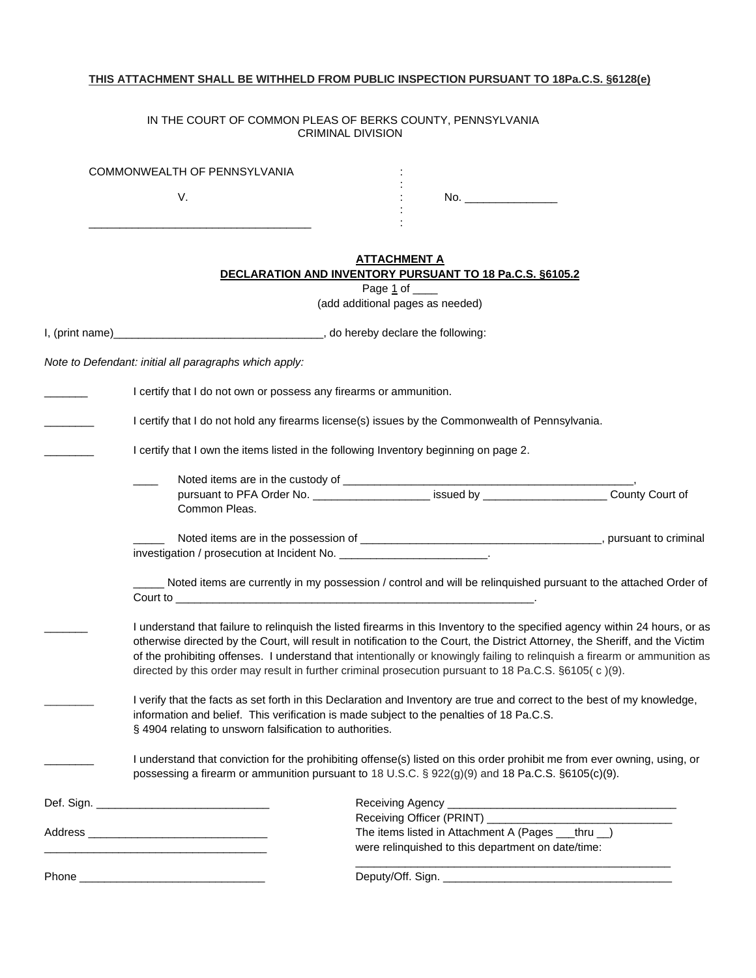# **THIS ATTACHMENT SHALL BE WITHHELD FROM PUBLIC INSPECTION PURSUANT TO 18Pa.C.S. §6128(e)**

#### IN THE COURT OF COMMON PLEAS OF BERKS COUNTY, PENNSYLVANIA CRIMINAL DIVISION

|                  | COMMONWEALTH OF PENNSYLVANIA                                                                                                                                                                                                                                                                                                                                                                                                                                                                         |                                                                                                                                                                                                                              |  |
|------------------|------------------------------------------------------------------------------------------------------------------------------------------------------------------------------------------------------------------------------------------------------------------------------------------------------------------------------------------------------------------------------------------------------------------------------------------------------------------------------------------------------|------------------------------------------------------------------------------------------------------------------------------------------------------------------------------------------------------------------------------|--|
|                  | V.                                                                                                                                                                                                                                                                                                                                                                                                                                                                                                   |                                                                                                                                                                                                                              |  |
|                  |                                                                                                                                                                                                                                                                                                                                                                                                                                                                                                      | <u>ATTACHMENT A</u><br>DECLARATION AND INVENTORY PURSUANT TO 18 Pa.C.S. §6105.2                                                                                                                                              |  |
|                  |                                                                                                                                                                                                                                                                                                                                                                                                                                                                                                      | Page 1 of _____<br>(add additional pages as needed)                                                                                                                                                                          |  |
| I, (print name)_ | do hereby declare the following:                                                                                                                                                                                                                                                                                                                                                                                                                                                                     |                                                                                                                                                                                                                              |  |
|                  | Note to Defendant: initial all paragraphs which apply:                                                                                                                                                                                                                                                                                                                                                                                                                                               |                                                                                                                                                                                                                              |  |
|                  | I certify that I do not own or possess any firearms or ammunition.                                                                                                                                                                                                                                                                                                                                                                                                                                   |                                                                                                                                                                                                                              |  |
|                  |                                                                                                                                                                                                                                                                                                                                                                                                                                                                                                      | I certify that I do not hold any firearms license(s) issues by the Commonwealth of Pennsylvania.                                                                                                                             |  |
|                  |                                                                                                                                                                                                                                                                                                                                                                                                                                                                                                      | I certify that I own the items listed in the following Inventory beginning on page 2.                                                                                                                                        |  |
|                  | Common Pleas.                                                                                                                                                                                                                                                                                                                                                                                                                                                                                        |                                                                                                                                                                                                                              |  |
|                  | investigation / prosecution at Incident No. ___________________________.                                                                                                                                                                                                                                                                                                                                                                                                                             |                                                                                                                                                                                                                              |  |
|                  |                                                                                                                                                                                                                                                                                                                                                                                                                                                                                                      | Noted items are currently in my possession / control and will be relinquished pursuant to the attached Order of                                                                                                              |  |
|                  | I understand that failure to relinquish the listed firearms in this Inventory to the specified agency within 24 hours, or as<br>otherwise directed by the Court, will result in notification to the Court, the District Attorney, the Sheriff, and the Victim<br>of the prohibiting offenses. I understand that intentionally or knowingly failing to relinquish a firearm or ammunition as<br>directed by this order may result in further criminal prosecution pursuant to 18 Pa.C.S. §6105(c)(9). |                                                                                                                                                                                                                              |  |
|                  | I verify that the facts as set forth in this Declaration and Inventory are true and correct to the best of my knowledge,<br>information and belief. This verification is made subject to the penalties of 18 Pa.C.S.<br>§ 4904 relating to unsworn falsification to authorities.                                                                                                                                                                                                                     |                                                                                                                                                                                                                              |  |
|                  |                                                                                                                                                                                                                                                                                                                                                                                                                                                                                                      | I understand that conviction for the prohibiting offense(s) listed on this order prohibit me from ever owning, using, or<br>possessing a firearm or ammunition pursuant to 18 U.S.C. § 922(g)(9) and 18 Pa.C.S. §6105(c)(9). |  |
|                  |                                                                                                                                                                                                                                                                                                                                                                                                                                                                                                      |                                                                                                                                                                                                                              |  |
|                  |                                                                                                                                                                                                                                                                                                                                                                                                                                                                                                      | The items listed in Attachment A (Pages __thru _)<br>were relinquished to this department on date/time:                                                                                                                      |  |
|                  |                                                                                                                                                                                                                                                                                                                                                                                                                                                                                                      |                                                                                                                                                                                                                              |  |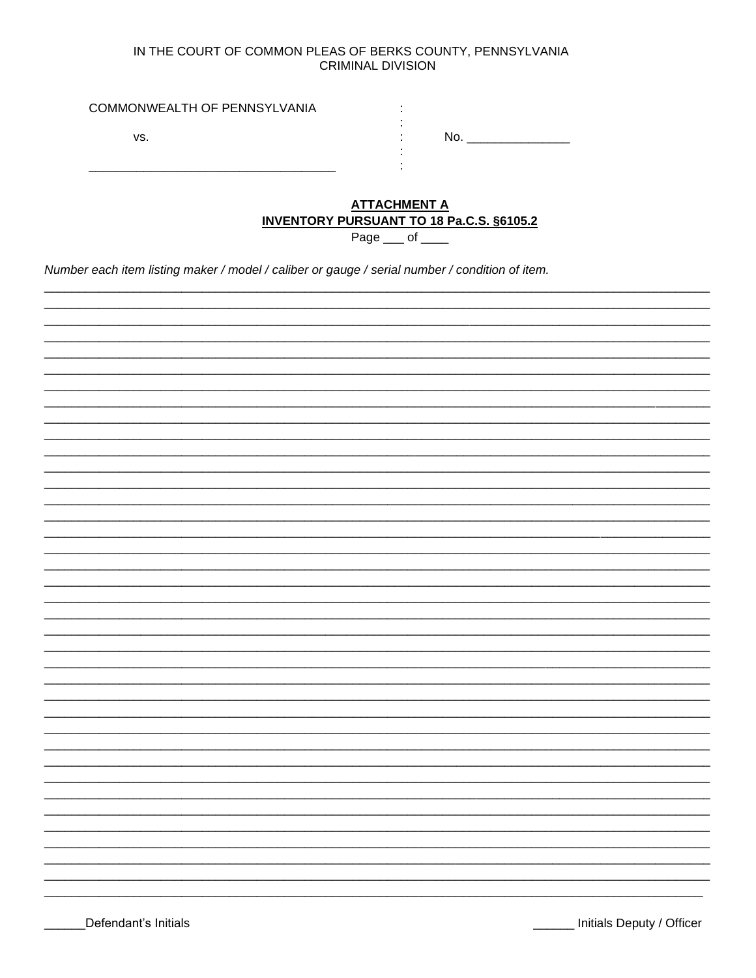# IN THE COURT OF COMMON PLEAS OF BERKS COUNTY, PENNSYLVANIA **CRIMINAL DIVISION**

| COMMONWEALTH OF PENNSYLVANIA |  |
|------------------------------|--|
| VS.                          |  |
|                              |  |

# **ATTACHMENT A INVENTORY PURSUANT TO 18 Pa.C.S. §6105.2**

Page  $\_\_$  of  $\_\_$ 

Number each item listing maker / model / caliber or gauge / serial number / condition of item.